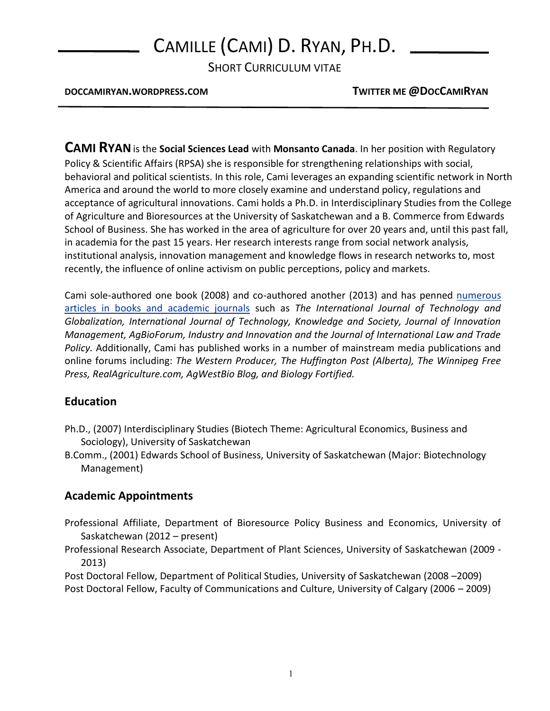# CAMILLE (CAMI) D. RYAN, PH.D.

SHORT CURRICULUM VITAE

**DOCCAMIRYAN.WORDPRESS.COM TWITTER ME @DOCCAMIRYAN**

**CAMI RYAN**is the **Social Sciences Lead** with **Monsanto Canada**. In her position with Regulatory Policy & Scientific Affairs (RPSA) she is responsible for strengthening relationships with social, behavioral and political scientists. In this role, Cami leverages an expanding scientific network in North America and around the world to more closely examine and understand policy, regulations and acceptance of agricultural innovations. Cami holds a Ph.D. in Interdisciplinary Studies from the College of Agriculture and Bioresources at the University of Saskatchewan and a B. Commerce from Edwards School of Business. She has worked in the area of agriculture for over 20 years and, until this past fall, in academia for the past 15 years. Her research interests range from social network analysis, institutional analysis, innovation management and knowledge flows in research networks to, most recently, the influence of online activism on public perceptions, policy and markets.

Cami sole-authored one book (2008) and co-authored another (2013) and has penned [numerous](http://doccamiryan.wordpress.com/cv/)  [articles in books and academic journals](http://doccamiryan.wordpress.com/cv/) such as *The International Journal of Technology and Globalization, International Journal of Technology, Knowledge and Society, Journal of Innovation Management, AgBioForum, Industry and Innovation and the Journal of International Law and Trade Policy.* Additionally, Cami has published works in a number of mainstream media publications and online forums including: *The Western Producer, The Huffington Post (Alberta), The Winnipeg Free Press, RealAgriculture.com, AgWestBio Blog, and Biology Fortified.*

#### **Education**

- Ph.D., (2007) Interdisciplinary Studies (Biotech Theme: Agricultural Economics, Business and Sociology), University of Saskatchewan
- B.Comm., (2001) Edwards School of Business, University of Saskatchewan (Major: Biotechnology Management)

## **Academic Appointments**

Professional Affiliate, Department of Bioresource Policy Business and Economics, University of Saskatchewan (2012 – present)

Professional Research Associate, Department of Plant Sciences, University of Saskatchewan (2009 - 2013)

Post Doctoral Fellow, Department of Political Studies, University of Saskatchewan (2008 –2009) Post Doctoral Fellow, Faculty of Communications and Culture, University of Calgary (2006 – 2009)